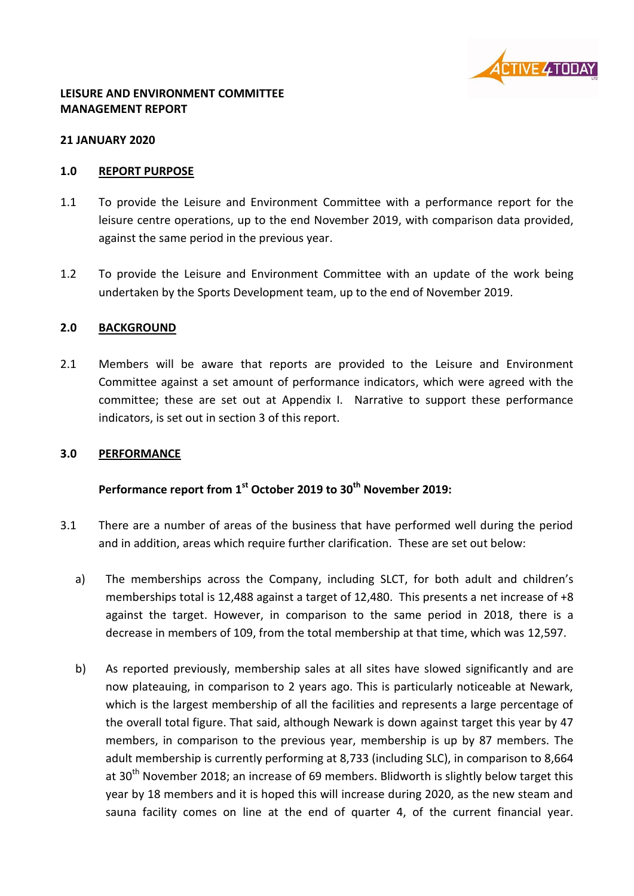

#### **LEISURE AND ENVIRONMENT COMMITTEE MANAGEMENT REPORT**

#### **21 JANUARY 2020**

#### **1.0 REPORT PURPOSE**

- 1.1 To provide the Leisure and Environment Committee with a performance report for the leisure centre operations, up to the end November 2019, with comparison data provided, against the same period in the previous year.
- 1.2 To provide the Leisure and Environment Committee with an update of the work being undertaken by the Sports Development team, up to the end of November 2019.

#### **2.0 BACKGROUND**

2.1 Members will be aware that reports are provided to the Leisure and Environment Committee against a set amount of performance indicators, which were agreed with the committee; these are set out at Appendix I. Narrative to support these performance indicators, is set out in section 3 of this report.

#### **3.0 PERFORMANCE**

# **Performance report from 1 st October 2019 to 30th November 2019:**

- 3.1 There are a number of areas of the business that have performed well during the period and in addition, areas which require further clarification. These are set out below:
	- a) The memberships across the Company, including SLCT, for both adult and children's memberships total is 12,488 against a target of 12,480. This presents a net increase of +8 against the target. However, in comparison to the same period in 2018, there is a decrease in members of 109, from the total membership at that time, which was 12,597.
	- b) As reported previously, membership sales at all sites have slowed significantly and are now plateauing, in comparison to 2 years ago. This is particularly noticeable at Newark, which is the largest membership of all the facilities and represents a large percentage of the overall total figure. That said, although Newark is down against target this year by 47 members, in comparison to the previous year, membership is up by 87 members. The adult membership is currently performing at 8,733 (including SLC), in comparison to 8,664 at  $30<sup>th</sup>$  November 2018; an increase of 69 members. Blidworth is slightly below target this year by 18 members and it is hoped this will increase during 2020, as the new steam and sauna facility comes on line at the end of quarter 4, of the current financial year.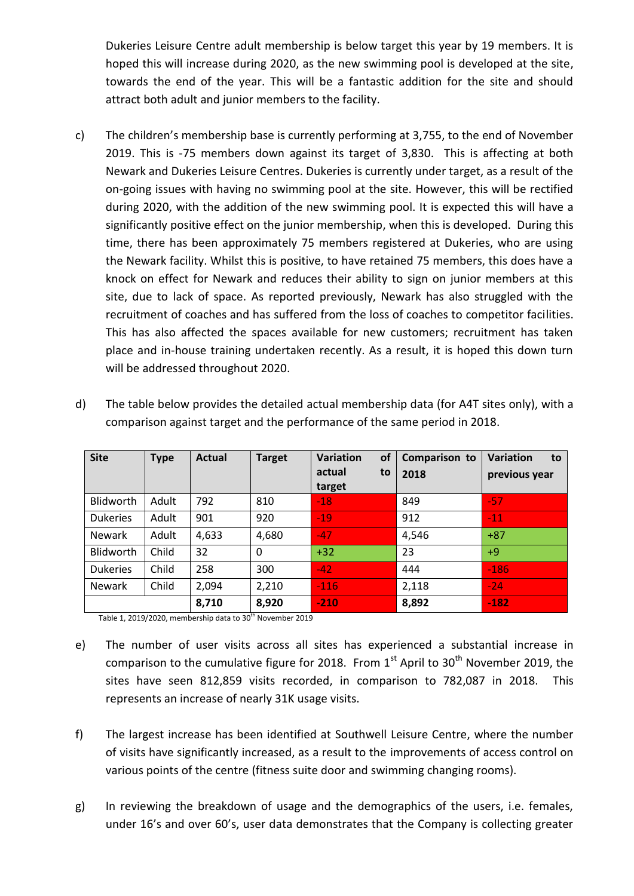Dukeries Leisure Centre adult membership is below target this year by 19 members. It is hoped this will increase during 2020, as the new swimming pool is developed at the site, towards the end of the year. This will be a fantastic addition for the site and should attract both adult and junior members to the facility.

c) The children's membership base is currently performing at 3,755, to the end of November 2019. This is -75 members down against its target of 3,830. This is affecting at both Newark and Dukeries Leisure Centres. Dukeries is currently under target, as a result of the on-going issues with having no swimming pool at the site. However, this will be rectified during 2020, with the addition of the new swimming pool. It is expected this will have a significantly positive effect on the junior membership, when this is developed. During this time, there has been approximately 75 members registered at Dukeries, who are using the Newark facility. Whilst this is positive, to have retained 75 members, this does have a knock on effect for Newark and reduces their ability to sign on junior members at this site, due to lack of space. As reported previously, Newark has also struggled with the recruitment of coaches and has suffered from the loss of coaches to competitor facilities. This has also affected the spaces available for new customers; recruitment has taken place and in-house training undertaken recently. As a result, it is hoped this down turn will be addressed throughout 2020.

| <b>Site</b>     | <b>Type</b> | <b>Actual</b> | <b>Target</b> | <b>Variation</b><br><b>of</b><br>actual<br>to<br>target | Comparison to<br>2018 | Variation<br>to<br>previous year |
|-----------------|-------------|---------------|---------------|---------------------------------------------------------|-----------------------|----------------------------------|
| Blidworth       | Adult       | 792           | 810           | $-18$                                                   | 849                   | $-57$                            |
| <b>Dukeries</b> | Adult       | 901           | 920           | $-19$                                                   | 912                   | $-11$                            |
| <b>Newark</b>   | Adult       | 4,633         | 4,680         | $-47$                                                   | 4,546                 | $+87$                            |
| Blidworth       | Child       | 32            | $\Omega$      | $+32$                                                   | 23                    | $+9$                             |
| <b>Dukeries</b> | Child       | 258           | 300           | $-42$                                                   | 444                   | $-186$                           |
| <b>Newark</b>   | Child       | 2,094         | 2,210         | $-116$                                                  | 2,118                 | $-24$                            |
|                 |             | 8,710         | 8,920         | $-210$                                                  | 8,892                 | $-182$                           |

d) The table below provides the detailed actual membership data (for A4T sites only), with a comparison against target and the performance of the same period in 2018.

Table 1, 2019/2020, membership data to 30<sup>th</sup> November 2019

- e) The number of user visits across all sites has experienced a substantial increase in comparison to the cumulative figure for 2018. From  $1<sup>st</sup>$  April to 30<sup>th</sup> November 2019, the sites have seen 812,859 visits recorded, in comparison to 782,087 in 2018. This represents an increase of nearly 31K usage visits.
- f) The largest increase has been identified at Southwell Leisure Centre, where the number of visits have significantly increased, as a result to the improvements of access control on various points of the centre (fitness suite door and swimming changing rooms).
- g) In reviewing the breakdown of usage and the demographics of the users, i.e. females, under 16's and over 60's, user data demonstrates that the Company is collecting greater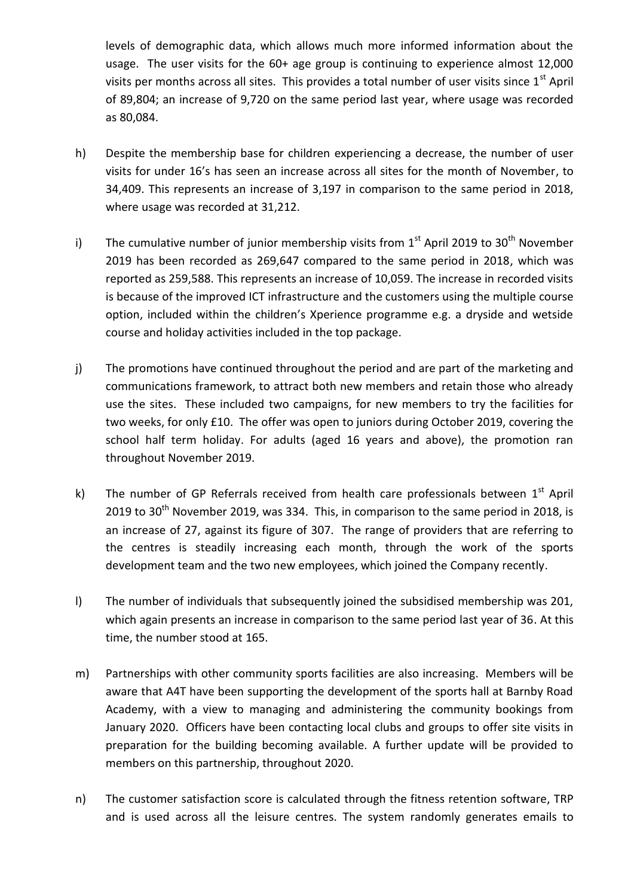levels of demographic data, which allows much more informed information about the usage. The user visits for the 60+ age group is continuing to experience almost 12,000 visits per months across all sites. This provides a total number of user visits since  $1<sup>st</sup>$  April of 89,804; an increase of 9,720 on the same period last year, where usage was recorded as 80,084.

- h) Despite the membership base for children experiencing a decrease, the number of user visits for under 16's has seen an increase across all sites for the month of November, to 34,409. This represents an increase of 3,197 in comparison to the same period in 2018, where usage was recorded at 31,212.
- i) The cumulative number of junior membership visits from  $1<sup>st</sup>$  April 2019 to 30<sup>th</sup> November 2019 has been recorded as 269,647 compared to the same period in 2018, which was reported as 259,588. This represents an increase of 10,059. The increase in recorded visits is because of the improved ICT infrastructure and the customers using the multiple course option, included within the children's Xperience programme e.g. a dryside and wetside course and holiday activities included in the top package.
- j) The promotions have continued throughout the period and are part of the marketing and communications framework, to attract both new members and retain those who already use the sites. These included two campaigns, for new members to try the facilities for two weeks, for only £10. The offer was open to juniors during October 2019, covering the school half term holiday. For adults (aged 16 years and above), the promotion ran throughout November 2019.
- k) The number of GP Referrals received from health care professionals between 1<sup>st</sup> April 2019 to  $30<sup>th</sup>$  November 2019, was 334. This, in comparison to the same period in 2018, is an increase of 27, against its figure of 307. The range of providers that are referring to the centres is steadily increasing each month, through the work of the sports development team and the two new employees, which joined the Company recently.
- l) The number of individuals that subsequently joined the subsidised membership was 201, which again presents an increase in comparison to the same period last year of 36. At this time, the number stood at 165.
- m) Partnerships with other community sports facilities are also increasing. Members will be aware that A4T have been supporting the development of the sports hall at Barnby Road Academy, with a view to managing and administering the community bookings from January 2020. Officers have been contacting local clubs and groups to offer site visits in preparation for the building becoming available. A further update will be provided to members on this partnership, throughout 2020.
- n) The customer satisfaction score is calculated through the fitness retention software, TRP and is used across all the leisure centres. The system randomly generates emails to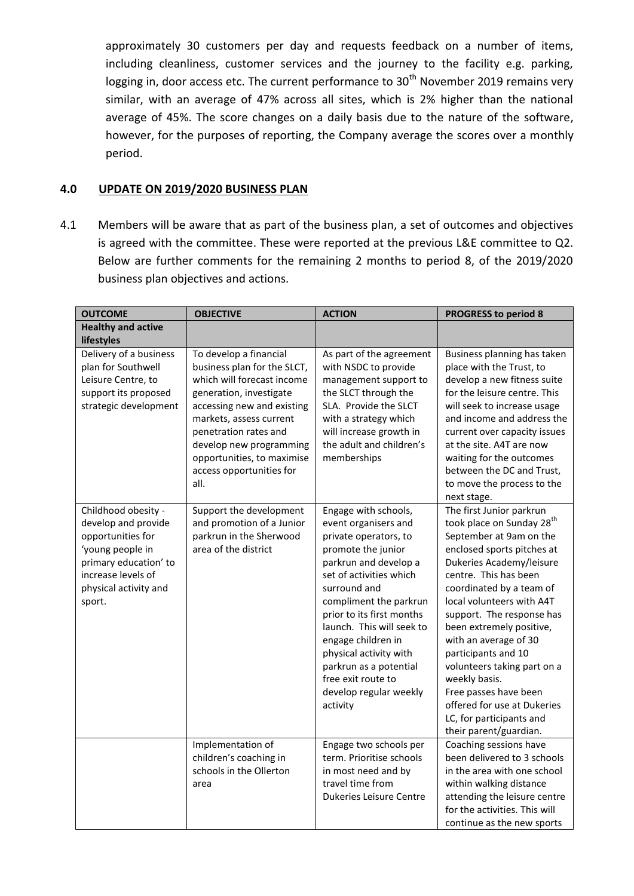approximately 30 customers per day and requests feedback on a number of items, including cleanliness, customer services and the journey to the facility e.g. parking, logging in, door access etc. The current performance to 30<sup>th</sup> November 2019 remains very similar, with an average of 47% across all sites, which is 2% higher than the national average of 45%. The score changes on a daily basis due to the nature of the software, however, for the purposes of reporting, the Company average the scores over a monthly period.

#### **4.0 UPDATE ON 2019/2020 BUSINESS PLAN**

4.1 Members will be aware that as part of the business plan, a set of outcomes and objectives is agreed with the committee. These were reported at the previous L&E committee to Q2. Below are further comments for the remaining 2 months to period 8, of the 2019/2020 business plan objectives and actions.

| <b>OUTCOME</b>                                                                                                                                                        | <b>OBJECTIVE</b>                                                                                                                                                                                                                                                                              | <b>ACTION</b>                                                                                                                                                                                                                                                                                                                                                                             | <b>PROGRESS to period 8</b>                                                                                                                                                                                                                                                                                                                                                                                                                                                                                     |  |
|-----------------------------------------------------------------------------------------------------------------------------------------------------------------------|-----------------------------------------------------------------------------------------------------------------------------------------------------------------------------------------------------------------------------------------------------------------------------------------------|-------------------------------------------------------------------------------------------------------------------------------------------------------------------------------------------------------------------------------------------------------------------------------------------------------------------------------------------------------------------------------------------|-----------------------------------------------------------------------------------------------------------------------------------------------------------------------------------------------------------------------------------------------------------------------------------------------------------------------------------------------------------------------------------------------------------------------------------------------------------------------------------------------------------------|--|
| <b>Healthy and active</b>                                                                                                                                             |                                                                                                                                                                                                                                                                                               |                                                                                                                                                                                                                                                                                                                                                                                           |                                                                                                                                                                                                                                                                                                                                                                                                                                                                                                                 |  |
| lifestyles                                                                                                                                                            |                                                                                                                                                                                                                                                                                               |                                                                                                                                                                                                                                                                                                                                                                                           |                                                                                                                                                                                                                                                                                                                                                                                                                                                                                                                 |  |
| Delivery of a business<br>plan for Southwell<br>Leisure Centre, to<br>support its proposed<br>strategic development                                                   | To develop a financial<br>business plan for the SLCT,<br>which will forecast income<br>generation, investigate<br>accessing new and existing<br>markets, assess current<br>penetration rates and<br>develop new programming<br>opportunities, to maximise<br>access opportunities for<br>all. | As part of the agreement<br>with NSDC to provide<br>management support to<br>the SLCT through the<br>SLA. Provide the SLCT<br>with a strategy which<br>will increase growth in<br>the adult and children's<br>memberships                                                                                                                                                                 | Business planning has taken<br>place with the Trust, to<br>develop a new fitness suite<br>for the leisure centre. This<br>will seek to increase usage<br>and income and address the<br>current over capacity issues<br>at the site. A4T are now<br>waiting for the outcomes<br>between the DC and Trust,<br>to move the process to the<br>next stage.                                                                                                                                                           |  |
| Childhood obesity -<br>develop and provide<br>opportunities for<br>'young people in<br>primary education' to<br>increase levels of<br>physical activity and<br>sport. | Support the development<br>and promotion of a Junior<br>parkrun in the Sherwood<br>area of the district                                                                                                                                                                                       | Engage with schools,<br>event organisers and<br>private operators, to<br>promote the junior<br>parkrun and develop a<br>set of activities which<br>surround and<br>compliment the parkrun<br>prior to its first months<br>launch. This will seek to<br>engage children in<br>physical activity with<br>parkrun as a potential<br>free exit route to<br>develop regular weekly<br>activity | The first Junior parkrun<br>took place on Sunday 28 <sup>th</sup><br>September at 9am on the<br>enclosed sports pitches at<br>Dukeries Academy/leisure<br>centre. This has been<br>coordinated by a team of<br>local volunteers with A4T<br>support. The response has<br>been extremely positive,<br>with an average of 30<br>participants and 10<br>volunteers taking part on a<br>weekly basis.<br>Free passes have been<br>offered for use at Dukeries<br>LC, for participants and<br>their parent/guardian. |  |
|                                                                                                                                                                       | Implementation of<br>children's coaching in<br>schools in the Ollerton<br>area                                                                                                                                                                                                                | Engage two schools per<br>term. Prioritise schools<br>in most need and by<br>travel time from<br><b>Dukeries Leisure Centre</b>                                                                                                                                                                                                                                                           | Coaching sessions have<br>been delivered to 3 schools<br>in the area with one school<br>within walking distance<br>attending the leisure centre<br>for the activities. This will<br>continue as the new sports                                                                                                                                                                                                                                                                                                  |  |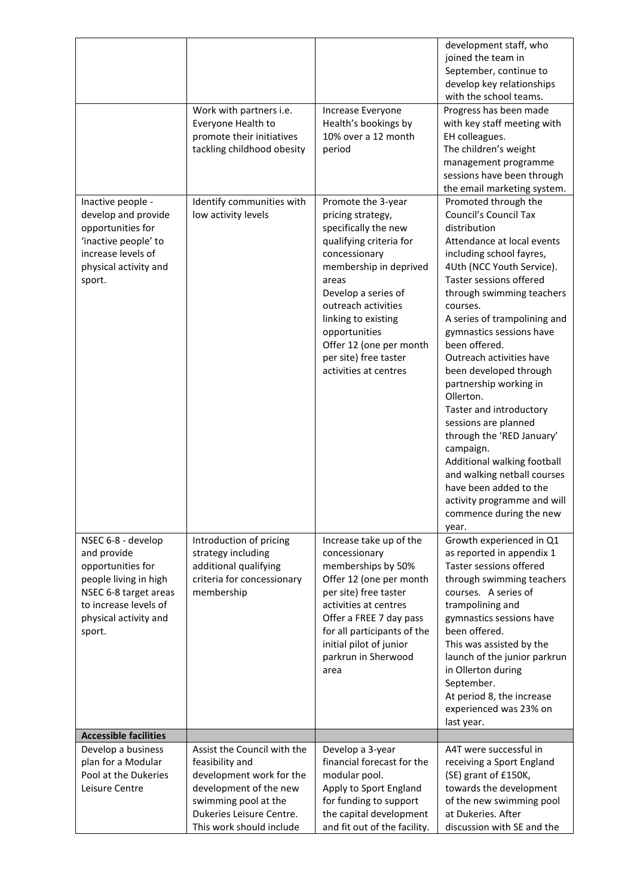|                                                                                                                                                                      |                                                                                                                                                                                      |                                                                                                                                                                                                                                                                                                                   | development staff, who                                                                                                                                                                                                                                                                                                                                                                                                                                                                                                                                                                                                                                            |
|----------------------------------------------------------------------------------------------------------------------------------------------------------------------|--------------------------------------------------------------------------------------------------------------------------------------------------------------------------------------|-------------------------------------------------------------------------------------------------------------------------------------------------------------------------------------------------------------------------------------------------------------------------------------------------------------------|-------------------------------------------------------------------------------------------------------------------------------------------------------------------------------------------------------------------------------------------------------------------------------------------------------------------------------------------------------------------------------------------------------------------------------------------------------------------------------------------------------------------------------------------------------------------------------------------------------------------------------------------------------------------|
|                                                                                                                                                                      |                                                                                                                                                                                      |                                                                                                                                                                                                                                                                                                                   | joined the team in                                                                                                                                                                                                                                                                                                                                                                                                                                                                                                                                                                                                                                                |
|                                                                                                                                                                      |                                                                                                                                                                                      |                                                                                                                                                                                                                                                                                                                   | September, continue to                                                                                                                                                                                                                                                                                                                                                                                                                                                                                                                                                                                                                                            |
|                                                                                                                                                                      |                                                                                                                                                                                      |                                                                                                                                                                                                                                                                                                                   | develop key relationships<br>with the school teams.                                                                                                                                                                                                                                                                                                                                                                                                                                                                                                                                                                                                               |
|                                                                                                                                                                      | Work with partners i.e.<br>Everyone Health to<br>promote their initiatives<br>tackling childhood obesity                                                                             | Increase Everyone<br>Health's bookings by<br>10% over a 12 month<br>period                                                                                                                                                                                                                                        | Progress has been made<br>with key staff meeting with<br>EH colleagues.<br>The children's weight<br>management programme<br>sessions have been through                                                                                                                                                                                                                                                                                                                                                                                                                                                                                                            |
|                                                                                                                                                                      |                                                                                                                                                                                      |                                                                                                                                                                                                                                                                                                                   | the email marketing system.                                                                                                                                                                                                                                                                                                                                                                                                                                                                                                                                                                                                                                       |
| Inactive people -<br>develop and provide<br>opportunities for<br>'inactive people' to<br>increase levels of<br>physical activity and<br>sport.                       | Identify communities with<br>low activity levels                                                                                                                                     | Promote the 3-year<br>pricing strategy,<br>specifically the new<br>qualifying criteria for<br>concessionary<br>membership in deprived<br>areas<br>Develop a series of<br>outreach activities<br>linking to existing<br>opportunities<br>Offer 12 (one per month<br>per site) free taster<br>activities at centres | Promoted through the<br><b>Council's Council Tax</b><br>distribution<br>Attendance at local events<br>including school fayres,<br>4Uth (NCC Youth Service).<br>Taster sessions offered<br>through swimming teachers<br>courses.<br>A series of trampolining and<br>gymnastics sessions have<br>been offered.<br>Outreach activities have<br>been developed through<br>partnership working in<br>Ollerton.<br>Taster and introductory<br>sessions are planned<br>through the 'RED January'<br>campaign.<br>Additional walking football<br>and walking netball courses<br>have been added to the<br>activity programme and will<br>commence during the new<br>year. |
| NSEC 6-8 - develop<br>and provide<br>opportunities for<br>people living in high<br>NSEC 6-8 target areas<br>to increase levels of<br>physical activity and<br>sport. | Introduction of pricing<br>strategy including<br>additional qualifying<br>criteria for concessionary<br>membership                                                                   | Increase take up of the<br>concessionary<br>memberships by 50%<br>Offer 12 (one per month<br>per site) free taster<br>activities at centres<br>Offer a FREE 7 day pass<br>for all participants of the<br>initial pilot of junior<br>parkrun in Sherwood<br>area                                                   | Growth experienced in Q1<br>as reported in appendix 1<br>Taster sessions offered<br>through swimming teachers<br>courses. A series of<br>trampolining and<br>gymnastics sessions have<br>been offered.<br>This was assisted by the<br>launch of the junior parkrun<br>in Ollerton during<br>September.<br>At period 8, the increase<br>experienced was 23% on<br>last year.                                                                                                                                                                                                                                                                                       |
| <b>Accessible facilities</b>                                                                                                                                         |                                                                                                                                                                                      |                                                                                                                                                                                                                                                                                                                   |                                                                                                                                                                                                                                                                                                                                                                                                                                                                                                                                                                                                                                                                   |
| Develop a business<br>plan for a Modular<br>Pool at the Dukeries<br>Leisure Centre                                                                                   | Assist the Council with the<br>feasibility and<br>development work for the<br>development of the new<br>swimming pool at the<br>Dukeries Leisure Centre.<br>This work should include | Develop a 3-year<br>financial forecast for the<br>modular pool.<br>Apply to Sport England<br>for funding to support<br>the capital development<br>and fit out of the facility.                                                                                                                                    | A4T were successful in<br>receiving a Sport England<br>(SE) grant of £150K,<br>towards the development<br>of the new swimming pool<br>at Dukeries. After<br>discussion with SE and the                                                                                                                                                                                                                                                                                                                                                                                                                                                                            |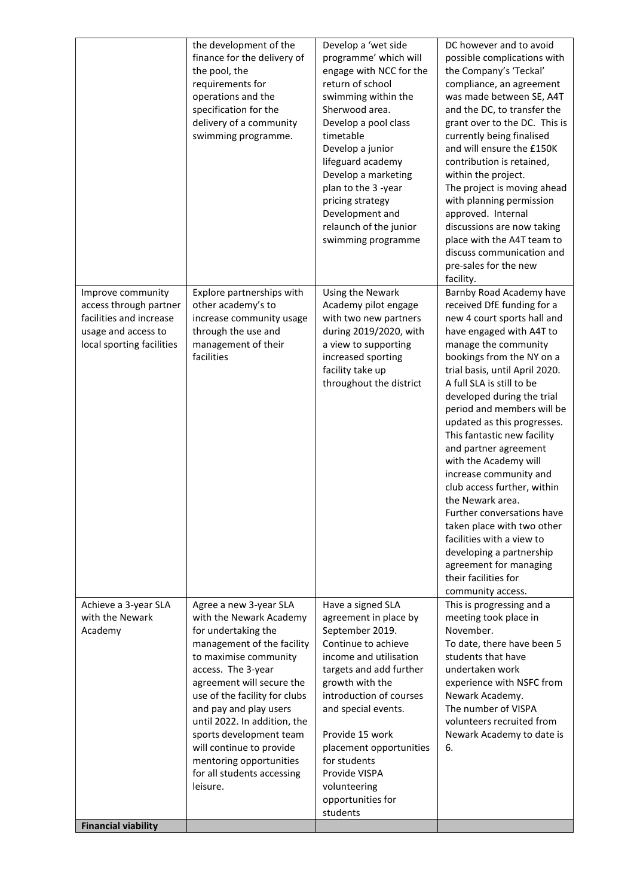|                                                                                                                            | the development of the<br>finance for the delivery of<br>the pool, the<br>requirements for<br>operations and the<br>specification for the<br>delivery of a community<br>swimming programme.                                                                                                                                                                                                               | Develop a 'wet side<br>programme' which will<br>engage with NCC for the<br>return of school<br>swimming within the<br>Sherwood area.<br>Develop a pool class<br>timetable<br>Develop a junior<br>lifeguard academy<br>Develop a marketing<br>plan to the 3 -year<br>pricing strategy<br>Development and<br>relaunch of the junior<br>swimming programme | DC however and to avoid<br>possible complications with<br>the Company's 'Teckal'<br>compliance, an agreement<br>was made between SE, A4T<br>and the DC, to transfer the<br>grant over to the DC. This is<br>currently being finalised<br>and will ensure the £150K<br>contribution is retained,<br>within the project.<br>The project is moving ahead<br>with planning permission<br>approved. Internal<br>discussions are now taking<br>place with the A4T team to<br>discuss communication and<br>pre-sales for the new<br>facility.                                                                                                                                                     |
|----------------------------------------------------------------------------------------------------------------------------|-----------------------------------------------------------------------------------------------------------------------------------------------------------------------------------------------------------------------------------------------------------------------------------------------------------------------------------------------------------------------------------------------------------|---------------------------------------------------------------------------------------------------------------------------------------------------------------------------------------------------------------------------------------------------------------------------------------------------------------------------------------------------------|--------------------------------------------------------------------------------------------------------------------------------------------------------------------------------------------------------------------------------------------------------------------------------------------------------------------------------------------------------------------------------------------------------------------------------------------------------------------------------------------------------------------------------------------------------------------------------------------------------------------------------------------------------------------------------------------|
| Improve community<br>access through partner<br>facilities and increase<br>usage and access to<br>local sporting facilities | Explore partnerships with<br>other academy's to<br>increase community usage<br>through the use and<br>management of their<br>facilities                                                                                                                                                                                                                                                                   | Using the Newark<br>Academy pilot engage<br>with two new partners<br>during 2019/2020, with<br>a view to supporting<br>increased sporting<br>facility take up<br>throughout the district                                                                                                                                                                | Barnby Road Academy have<br>received DfE funding for a<br>new 4 court sports hall and<br>have engaged with A4T to<br>manage the community<br>bookings from the NY on a<br>trial basis, until April 2020.<br>A full SLA is still to be<br>developed during the trial<br>period and members will be<br>updated as this progresses.<br>This fantastic new facility<br>and partner agreement<br>with the Academy will<br>increase community and<br>club access further, within<br>the Newark area.<br>Further conversations have<br>taken place with two other<br>facilities with a view to<br>developing a partnership<br>agreement for managing<br>their facilities for<br>community access. |
| Achieve a 3-year SLA<br>with the Newark<br>Academy                                                                         | Agree a new 3-year SLA<br>with the Newark Academy<br>for undertaking the<br>management of the facility<br>to maximise community<br>access. The 3-year<br>agreement will secure the<br>use of the facility for clubs<br>and pay and play users<br>until 2022. In addition, the<br>sports development team<br>will continue to provide<br>mentoring opportunities<br>for all students accessing<br>leisure. | Have a signed SLA<br>agreement in place by<br>September 2019.<br>Continue to achieve<br>income and utilisation<br>targets and add further<br>growth with the<br>introduction of courses<br>and special events.<br>Provide 15 work<br>placement opportunities<br>for students<br>Provide VISPA<br>volunteering<br>opportunities for<br>students          | This is progressing and a<br>meeting took place in<br>November.<br>To date, there have been 5<br>students that have<br>undertaken work<br>experience with NSFC from<br>Newark Academy.<br>The number of VISPA<br>volunteers recruited from<br>Newark Academy to date is<br>6.                                                                                                                                                                                                                                                                                                                                                                                                              |
| <b>Financial viability</b>                                                                                                 |                                                                                                                                                                                                                                                                                                                                                                                                           |                                                                                                                                                                                                                                                                                                                                                         |                                                                                                                                                                                                                                                                                                                                                                                                                                                                                                                                                                                                                                                                                            |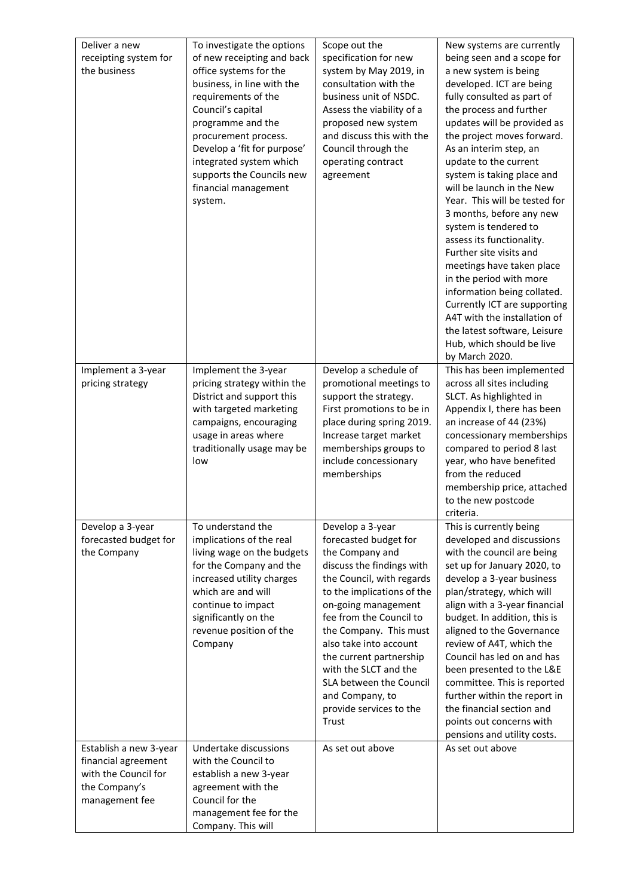| Deliver a new<br>receipting system for<br>the business                                                   | To investigate the options<br>of new receipting and back<br>office systems for the<br>business, in line with the<br>requirements of the<br>Council's capital<br>programme and the<br>procurement process.<br>Develop a 'fit for purpose'<br>integrated system which<br>supports the Councils new<br>financial management<br>system. | Scope out the<br>specification for new<br>system by May 2019, in<br>consultation with the<br>business unit of NSDC.<br>Assess the viability of a<br>proposed new system<br>and discuss this with the<br>Council through the<br>operating contract<br>agreement                                                                                                                                   | New systems are currently<br>being seen and a scope for<br>a new system is being<br>developed. ICT are being<br>fully consulted as part of<br>the process and further<br>updates will be provided as<br>the project moves forward.<br>As an interim step, an<br>update to the current<br>system is taking place and<br>will be launch in the New<br>Year. This will be tested for<br>3 months, before any new<br>system is tendered to<br>assess its functionality.<br>Further site visits and<br>meetings have taken place<br>in the period with more<br>information being collated.<br>Currently ICT are supporting<br>A4T with the installation of<br>the latest software, Leisure<br>Hub, which should be live<br>by March 2020. |
|----------------------------------------------------------------------------------------------------------|-------------------------------------------------------------------------------------------------------------------------------------------------------------------------------------------------------------------------------------------------------------------------------------------------------------------------------------|--------------------------------------------------------------------------------------------------------------------------------------------------------------------------------------------------------------------------------------------------------------------------------------------------------------------------------------------------------------------------------------------------|--------------------------------------------------------------------------------------------------------------------------------------------------------------------------------------------------------------------------------------------------------------------------------------------------------------------------------------------------------------------------------------------------------------------------------------------------------------------------------------------------------------------------------------------------------------------------------------------------------------------------------------------------------------------------------------------------------------------------------------|
| Implement a 3-year<br>pricing strategy                                                                   | Implement the 3-year<br>pricing strategy within the<br>District and support this<br>with targeted marketing<br>campaigns, encouraging<br>usage in areas where<br>traditionally usage may be<br>low                                                                                                                                  | Develop a schedule of<br>promotional meetings to<br>support the strategy.<br>First promotions to be in<br>place during spring 2019.<br>Increase target market<br>memberships groups to<br>include concessionary<br>memberships                                                                                                                                                                   | This has been implemented<br>across all sites including<br>SLCT. As highlighted in<br>Appendix I, there has been<br>an increase of 44 (23%)<br>concessionary memberships<br>compared to period 8 last<br>year, who have benefited<br>from the reduced<br>membership price, attached<br>to the new postcode<br>criteria.                                                                                                                                                                                                                                                                                                                                                                                                              |
| Develop a 3-year<br>forecasted budget for<br>the Company                                                 | To understand the<br>implications of the real<br>living wage on the budgets<br>for the Company and the<br>increased utility charges<br>which are and will<br>continue to impact<br>significantly on the<br>revenue position of the<br>Company                                                                                       | Develop a 3-year<br>forecasted budget for<br>the Company and<br>discuss the findings with<br>the Council, with regards<br>to the implications of the<br>on-going management<br>fee from the Council to<br>the Company. This must<br>also take into account<br>the current partnership<br>with the SLCT and the<br>SLA between the Council<br>and Company, to<br>provide services to the<br>Trust | This is currently being<br>developed and discussions<br>with the council are being<br>set up for January 2020, to<br>develop a 3-year business<br>plan/strategy, which will<br>align with a 3-year financial<br>budget. In addition, this is<br>aligned to the Governance<br>review of A4T, which the<br>Council has led on and has<br>been presented to the L&E<br>committee. This is reported<br>further within the report in<br>the financial section and<br>points out concerns with<br>pensions and utility costs.                                                                                                                                                                                                              |
| Establish a new 3-year<br>financial agreement<br>with the Council for<br>the Company's<br>management fee | Undertake discussions<br>with the Council to<br>establish a new 3-year<br>agreement with the<br>Council for the<br>management fee for the<br>Company. This will                                                                                                                                                                     | As set out above                                                                                                                                                                                                                                                                                                                                                                                 | As set out above                                                                                                                                                                                                                                                                                                                                                                                                                                                                                                                                                                                                                                                                                                                     |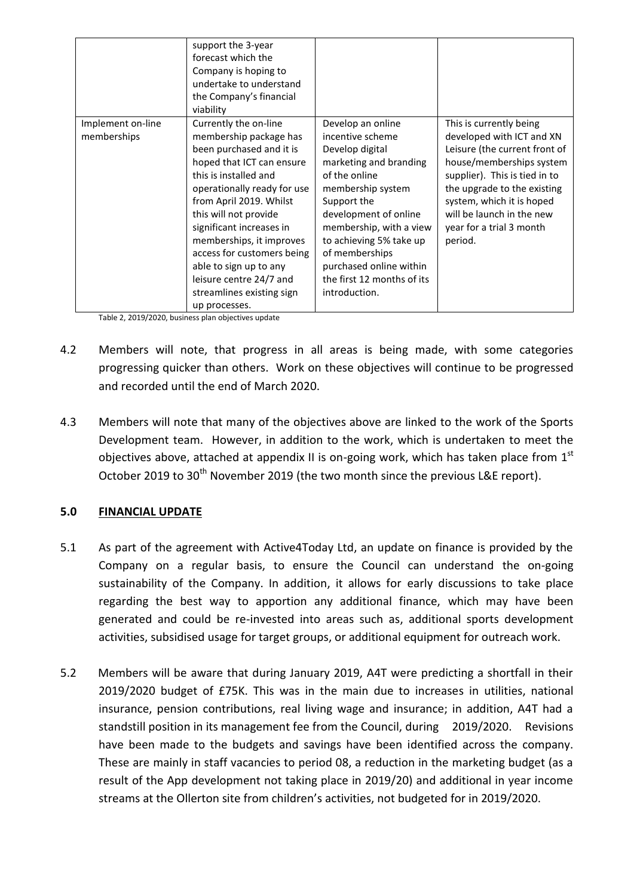|                                  | support the 3-year<br>forecast which the<br>Company is hoping to<br>undertake to understand<br>the Company's financial<br>viability                                                                                                                                                                                                                                                                           |                                                                                                                                                                                                                                                                                                                    |                                                                                                                                                                                                                                                                                    |
|----------------------------------|---------------------------------------------------------------------------------------------------------------------------------------------------------------------------------------------------------------------------------------------------------------------------------------------------------------------------------------------------------------------------------------------------------------|--------------------------------------------------------------------------------------------------------------------------------------------------------------------------------------------------------------------------------------------------------------------------------------------------------------------|------------------------------------------------------------------------------------------------------------------------------------------------------------------------------------------------------------------------------------------------------------------------------------|
| Implement on-line<br>memberships | Currently the on-line<br>membership package has<br>been purchased and it is<br>hoped that ICT can ensure<br>this is installed and<br>operationally ready for use<br>from April 2019. Whilst<br>this will not provide<br>significant increases in<br>memberships, it improves<br>access for customers being<br>able to sign up to any<br>leisure centre 24/7 and<br>streamlines existing sign<br>up processes. | Develop an online<br>incentive scheme<br>Develop digital<br>marketing and branding<br>of the online<br>membership system<br>Support the<br>development of online<br>membership, with a view<br>to achieving 5% take up<br>of memberships<br>purchased online within<br>the first 12 months of its<br>introduction. | This is currently being<br>developed with ICT and XN<br>Leisure (the current front of<br>house/memberships system<br>supplier). This is tied in to<br>the upgrade to the existing<br>system, which it is hoped<br>will be launch in the new<br>year for a trial 3 month<br>period. |

Table 2, 2019/2020, business plan objectives update

- 4.2 Members will note, that progress in all areas is being made, with some categories progressing quicker than others. Work on these objectives will continue to be progressed and recorded until the end of March 2020.
- 4.3 Members will note that many of the objectives above are linked to the work of the Sports Development team. However, in addition to the work, which is undertaken to meet the objectives above, attached at appendix II is on-going work, which has taken place from  $1<sup>st</sup>$ October 2019 to 30<sup>th</sup> November 2019 (the two month since the previous L&E report).

# **5.0 FINANCIAL UPDATE**

- 5.1 As part of the agreement with Active4Today Ltd, an update on finance is provided by the Company on a regular basis, to ensure the Council can understand the on-going sustainability of the Company. In addition, it allows for early discussions to take place regarding the best way to apportion any additional finance, which may have been generated and could be re-invested into areas such as, additional sports development activities, subsidised usage for target groups, or additional equipment for outreach work.
- 5.2 Members will be aware that during January 2019, A4T were predicting a shortfall in their 2019/2020 budget of £75K. This was in the main due to increases in utilities, national insurance, pension contributions, real living wage and insurance; in addition, A4T had a standstill position in its management fee from the Council, during 2019/2020. Revisions have been made to the budgets and savings have been identified across the company. These are mainly in staff vacancies to period 08, a reduction in the marketing budget (as a result of the App development not taking place in 2019/20) and additional in year income streams at the Ollerton site from children's activities, not budgeted for in 2019/2020.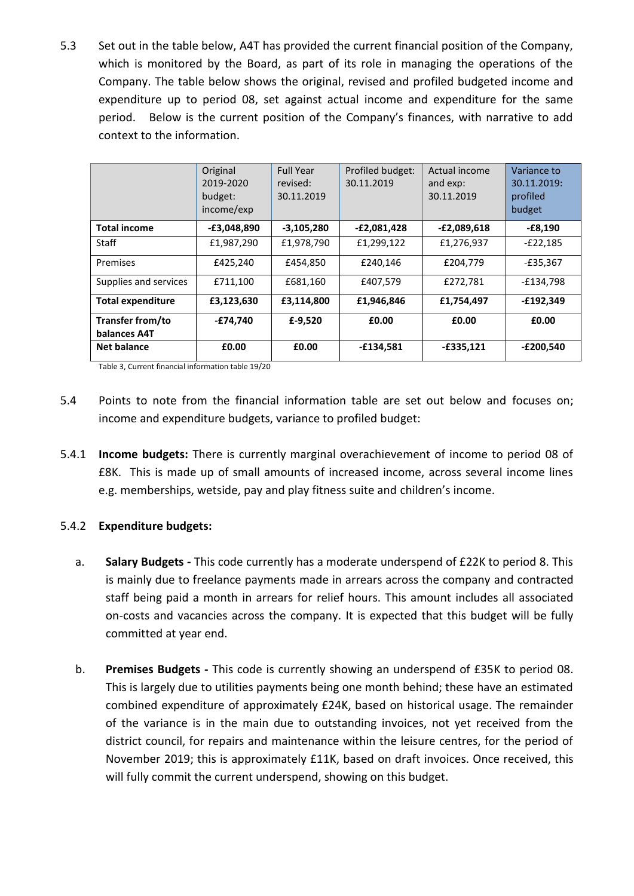5.3 Set out in the table below, A4T has provided the current financial position of the Company, which is monitored by the Board, as part of its role in managing the operations of the Company. The table below shows the original, revised and profiled budgeted income and expenditure up to period 08, set against actual income and expenditure for the same period. Below is the current position of the Company's finances, with narrative to add context to the information.

|                          | Original<br>2019-2020<br>budget:<br>income/exp | <b>Full Year</b><br>revised:<br>30.11.2019 | Profiled budget:<br>30.11.2019 | Actual income<br>and exp:<br>30.11.2019 | Variance to<br>30.11.2019:<br>profiled<br>budget |
|--------------------------|------------------------------------------------|--------------------------------------------|--------------------------------|-----------------------------------------|--------------------------------------------------|
| <b>Total income</b>      | $-E3,048,890$                                  | $-3,105,280$                               | $-E2,081,428$                  | -£2,089,618                             | $-E8,190$                                        |
| Staff                    | £1,987,290                                     | £1,978,790                                 | £1,299,122                     | £1,276,937                              | $-E22,185$                                       |
| Premises                 | £425,240                                       | £454.850                                   | £240.146                       | £204,779                                | $-E35,367$                                       |
| Supplies and services    | £711,100                                       | £681,160                                   | £407,579                       | £272,781                                | $-E134,798$                                      |
| <b>Total expenditure</b> | £3,123,630                                     | £3,114,800                                 | £1,946,846                     | £1,754,497                              | $-£192,349$                                      |
| Transfer from/to         | $-E74,740$                                     | £-9,520                                    | £0.00                          | £0.00                                   | £0.00                                            |
| balances A4T             |                                                |                                            |                                |                                         |                                                  |
| <b>Net balance</b>       | £0.00                                          | £0.00                                      | -£134,581                      | $-£335,121$                             | $-E200,540$                                      |

Table 3, Current financial information table 19/20

- 5.4 Points to note from the financial information table are set out below and focuses on; income and expenditure budgets, variance to profiled budget:
- 5.4.1 **Income budgets:** There is currently marginal overachievement of income to period 08 of £8K. This is made up of small amounts of increased income, across several income lines e.g. memberships, wetside, pay and play fitness suite and children's income.

# 5.4.2 **Expenditure budgets:**

- a. **Salary Budgets -** This code currently has a moderate underspend of £22K to period 8. This is mainly due to freelance payments made in arrears across the company and contracted staff being paid a month in arrears for relief hours. This amount includes all associated on-costs and vacancies across the company. It is expected that this budget will be fully committed at year end.
- b. **Premises Budgets -** This code is currently showing an underspend of £35K to period 08. This is largely due to utilities payments being one month behind; these have an estimated combined expenditure of approximately £24K, based on historical usage. The remainder of the variance is in the main due to outstanding invoices, not yet received from the district council, for repairs and maintenance within the leisure centres, for the period of November 2019; this is approximately £11K, based on draft invoices. Once received, this will fully commit the current underspend, showing on this budget.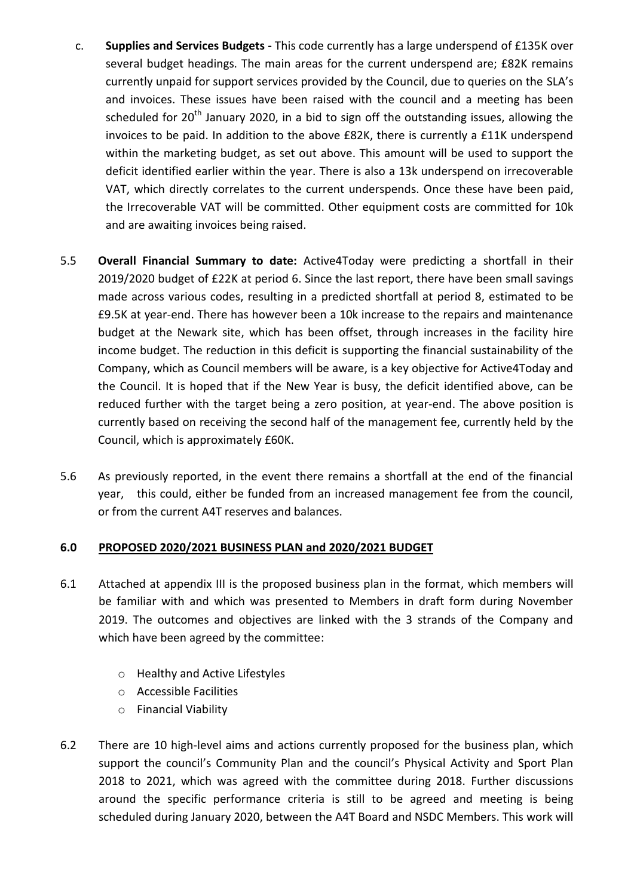- c. **Supplies and Services Budgets -** This code currently has a large underspend of £135K over several budget headings. The main areas for the current underspend are; £82K remains currently unpaid for support services provided by the Council, due to queries on the SLA's and invoices. These issues have been raised with the council and a meeting has been scheduled for 20<sup>th</sup> January 2020, in a bid to sign off the outstanding issues, allowing the invoices to be paid. In addition to the above £82K, there is currently a £11K underspend within the marketing budget, as set out above. This amount will be used to support the deficit identified earlier within the year. There is also a 13k underspend on irrecoverable VAT, which directly correlates to the current underspends. Once these have been paid, the Irrecoverable VAT will be committed. Other equipment costs are committed for 10k and are awaiting invoices being raised.
- 5.5 **Overall Financial Summary to date:** Active4Today were predicting a shortfall in their 2019/2020 budget of £22K at period 6. Since the last report, there have been small savings made across various codes, resulting in a predicted shortfall at period 8, estimated to be £9.5K at year-end. There has however been a 10k increase to the repairs and maintenance budget at the Newark site, which has been offset, through increases in the facility hire income budget. The reduction in this deficit is supporting the financial sustainability of the Company, which as Council members will be aware, is a key objective for Active4Today and the Council. It is hoped that if the New Year is busy, the deficit identified above, can be reduced further with the target being a zero position, at year-end. The above position is currently based on receiving the second half of the management fee, currently held by the Council, which is approximately £60K.
- 5.6 As previously reported, in the event there remains a shortfall at the end of the financial year, this could, either be funded from an increased management fee from the council, or from the current A4T reserves and balances.

# **6.0 PROPOSED 2020/2021 BUSINESS PLAN and 2020/2021 BUDGET**

- 6.1 Attached at appendix III is the proposed business plan in the format, which members will be familiar with and which was presented to Members in draft form during November 2019. The outcomes and objectives are linked with the 3 strands of the Company and which have been agreed by the committee:
	- o Healthy and Active Lifestyles
	- o Accessible Facilities
	- o Financial Viability
- 6.2 There are 10 high-level aims and actions currently proposed for the business plan, which support the council's Community Plan and the council's Physical Activity and Sport Plan 2018 to 2021, which was agreed with the committee during 2018. Further discussions around the specific performance criteria is still to be agreed and meeting is being scheduled during January 2020, between the A4T Board and NSDC Members. This work will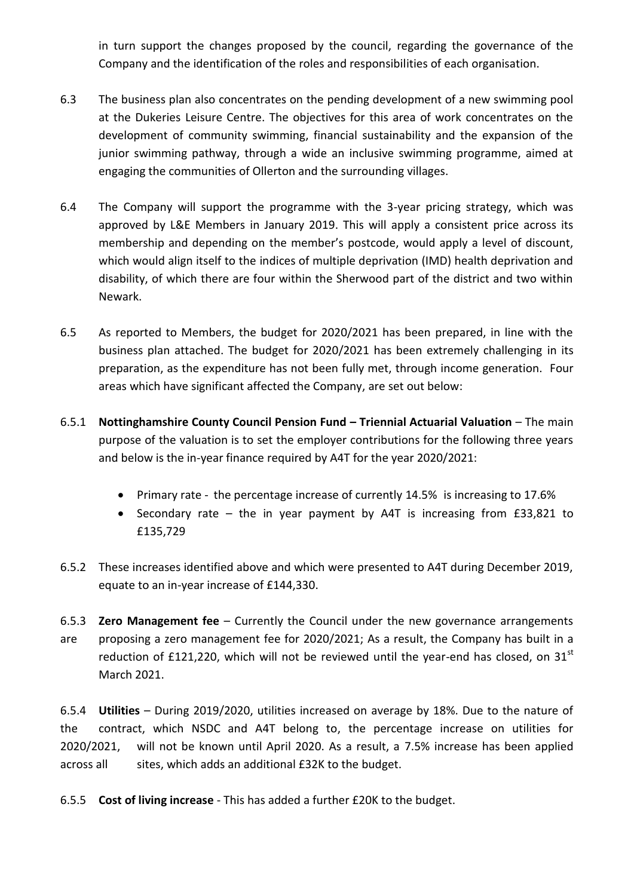in turn support the changes proposed by the council, regarding the governance of the Company and the identification of the roles and responsibilities of each organisation.

- 6.3 The business plan also concentrates on the pending development of a new swimming pool at the Dukeries Leisure Centre. The objectives for this area of work concentrates on the development of community swimming, financial sustainability and the expansion of the junior swimming pathway, through a wide an inclusive swimming programme, aimed at engaging the communities of Ollerton and the surrounding villages.
- 6.4 The Company will support the programme with the 3-year pricing strategy, which was approved by L&E Members in January 2019. This will apply a consistent price across its membership and depending on the member's postcode, would apply a level of discount, which would align itself to the indices of multiple deprivation (IMD) health deprivation and disability, of which there are four within the Sherwood part of the district and two within Newark.
- 6.5 As reported to Members, the budget for 2020/2021 has been prepared, in line with the business plan attached. The budget for 2020/2021 has been extremely challenging in its preparation, as the expenditure has not been fully met, through income generation. Four areas which have significant affected the Company, are set out below:
- 6.5.1 **Nottinghamshire County Council Pension Fund – Triennial Actuarial Valuation** The main purpose of the valuation is to set the employer contributions for the following three years and below is the in-year finance required by A4T for the year 2020/2021:
	- Primary rate the percentage increase of currently 14.5% is increasing to 17.6%
	- Secondary rate the in year payment by A4T is increasing from £33,821 to £135,729
- 6.5.2 These increases identified above and which were presented to A4T during December 2019, equate to an in-year increase of £144,330.
- 6.5.3 **Zero Management fee** Currently the Council under the new governance arrangements are proposing a zero management fee for 2020/2021; As a result, the Company has built in a reduction of £121,220, which will not be reviewed until the year-end has closed, on  $31<sup>st</sup>$ March 2021.

6.5.4 **Utilities** – During 2019/2020, utilities increased on average by 18%. Due to the nature of the contract, which NSDC and A4T belong to, the percentage increase on utilities for 2020/2021, will not be known until April 2020. As a result, a 7.5% increase has been applied across all sites, which adds an additional £32K to the budget.

6.5.5 **Cost of living increase** - This has added a further £20K to the budget.